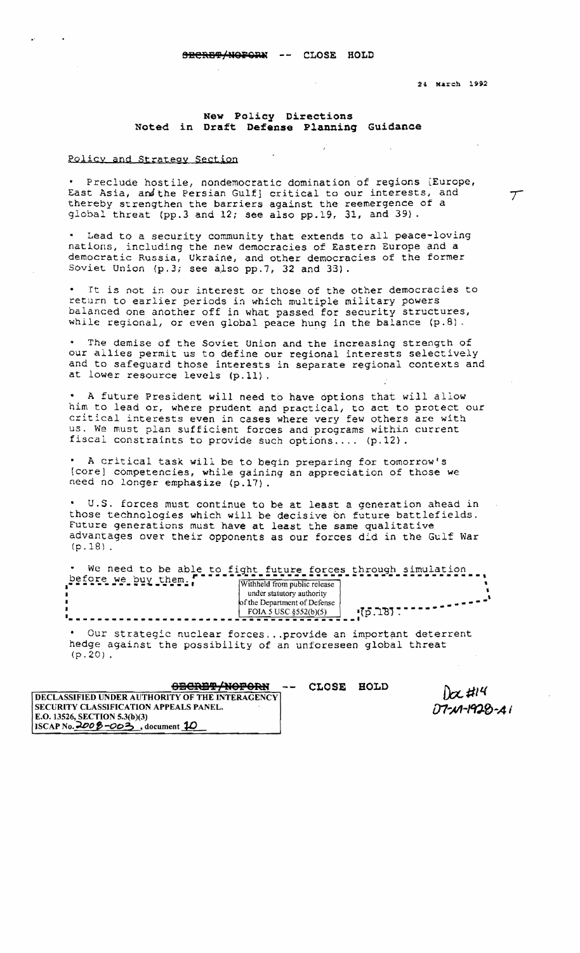24 March 1992

## **New Policy Directions**  Noted in Draft Defense Planning Guidance

## Policy and Strateay Section

Preclude hostile, nondemocratic domination of regions [Europe, East Asia, and the Persian Gulf] critical to our interests, and  $\tau$ thereby strengthen the barriers against the reemergence of a global threat (pp.3 and 12; see also pp.19, 31, and 39) .

. Lead to a security community that extends to all peace-loving nations, including the new democracies of Eastern Europe and a democratic Russia, Ukraine, and other democracies of the former Soviet Union (p.3; see also pp.7, 32 and 33).

It is not in our interest or those of the other democracies to return to earlier periods in which multiple military powers balanced one another off in what passed for security structures, while regional, or even global peace hung in the balance (p.8).

The demise of the Soviet Union and the increasing strength of our allies permit us to define our regional interests selectively and to safeguard those interests in separate regional contexts and at lower resource levels (p.ll).

A future President will need to have options that will allow him to lead or, where prudent and practical, to act to protect our critical interests even in cases where very few others are with us. We must plan sufficient forces and programs within current fiscal constraints to provide such options .... (p.12).

A critical task will be to begin preparing for tomorrow's [core] competencies, while gaining an appreciation of those we need no longer emphasize (p.l?).

U.S. forces must continue to be at least a generation ahead in those technologies which will be decisive on future battlefields. Future generations must have at least the same qualitative advantages over their opponents as our forces d:d in the Gulf War  $(p.18)$ .

|                     |                                                                                           | We need to be able to fight future forces through simulation |
|---------------------|-------------------------------------------------------------------------------------------|--------------------------------------------------------------|
| before we buy them. | Withheld from public release<br>under statutory authority<br>of the Department of Defense |                                                              |
|                     | FOIA 5 USC $\S 52(b)(5)$                                                                  |                                                              |

• Our strategic nuclear forces ... provide an important deterrent hedge against the possibility of an unforeseen global threat (p.20) .

| <del>obcret/noporn</del>                               |  |
|--------------------------------------------------------|--|
| <b>DECLASSIFIED UNDER AUTHORITY OF THE INTERAGENCY</b> |  |
| SECURITY CLASSIFICATION APPEALS PANEL.                 |  |
| E.O. 13526, SECTION 5.3(b)(3)                          |  |
| ISCAP No. $200\beta - 003$ , document 10               |  |

**Oa8MIJ /N9P9R:U CLOSE BOLD** 

 $D\alpha$ #14  $07 - 1928 - 1$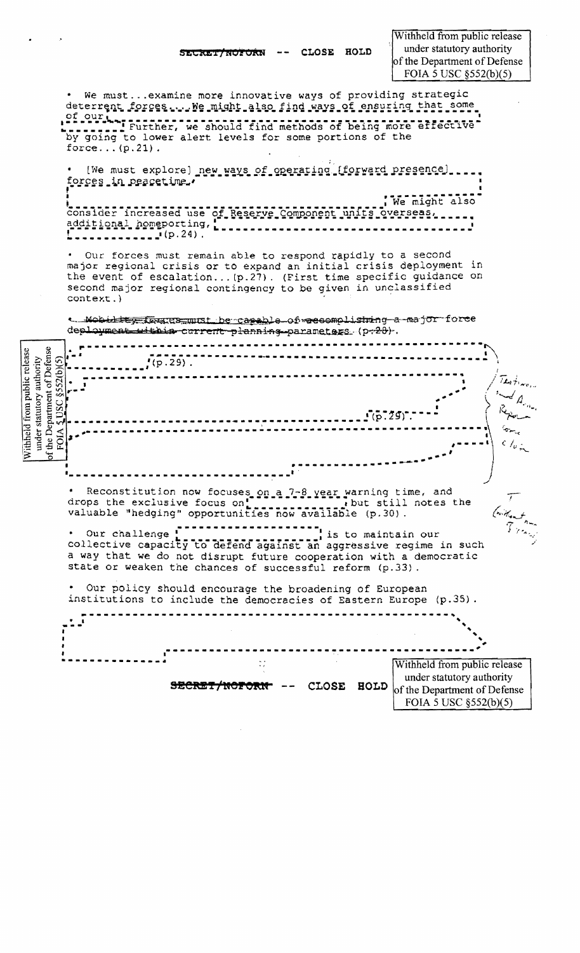CLOSE HOLD SECKET/NOFORN

We must... examine more innovative ways of providing strategic deterrent forces ... We might also find ways of ensuring that some of our Lesson and service and find methods of being more effective by going to lower alert levels for some portions of the force... $(p.21)$ . [We must explore] new ways of operating [forward presence]... forces in peacetime. We might also consider increased use of Reserve Component units overseas. additional homeporting, [] . **. . . . . . . . . . . . .** (p. 24). Our forces must remain able to respond rapidly to a second major regional crisis or to expand an initial crisis deployment in the event of escalation... (p.27). (First time specific guidance on second major regional contingency to be given in unclassified context.) a Mobility Intractionst be capable of accomplishing a major force deployment within current planning parametags (p+28). under statutory authority<br>
the Department of Defense<br>
FOIA  $\frac{50}{20}$  (SS2(b)(S)  $( p.29).$  $\zeta$  / $_{\omega}$  . یج . Reconstitution now focuses on a 7-8 year warning time, and<br>drops the exclusive focus on the point of the still notes the<br>valuable "hedging" opportunities now available (p.30).  $\tau$  $\begin{bmatrix} 1 & 1 \\ 0 & 1 \end{bmatrix}$  is to maintain our . Our challenge ! collective capacity to defend against an aggressive regime in such a way that we do not disrupt future cooperation with a democratic state or weaken the chances of successful reform (p.33). Our policy should encourage the broadening of European institutions to include the democracies of Eastern Europe (p.35). Withheld from public release under statutory authority SECRET/NOFORN --CLOSE HOLD of the Department of Defense FOIA 5 USC §552(b)(5)

Withheld from public release